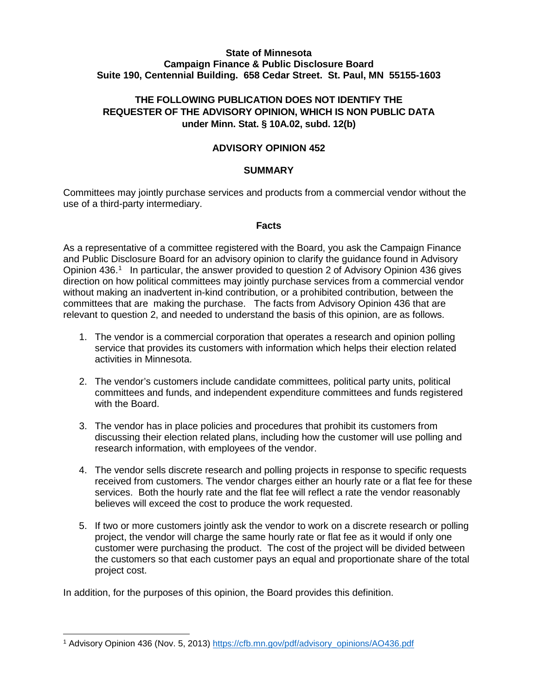### **State of Minnesota Campaign Finance & Public Disclosure Board Suite 190, Centennial Building. 658 Cedar Street. St. Paul, MN 55155-1603**

# **THE FOLLOWING PUBLICATION DOES NOT IDENTIFY THE REQUESTER OF THE ADVISORY OPINION, WHICH IS NON PUBLIC DATA under Minn. Stat. § 10A.02, subd. 12(b)**

### **ADVISORY OPINION 452**

### **SUMMARY**

Committees may jointly purchase services and products from a commercial vendor without the use of a third-party intermediary.

#### **Facts**

As a representative of a committee registered with the Board, you ask the Campaign Finance and Public Disclosure Board for an advisory opinion to clarify the guidance found in Advisory Opinion 436.<sup>[1](#page-0-0)</sup> In particular, the answer provided to question 2 of Advisory Opinion 436 gives direction on how political committees may jointly purchase services from a commercial vendor without making an inadvertent in-kind contribution, or a prohibited contribution, between the committees that are making the purchase. The facts from Advisory Opinion 436 that are relevant to question 2, and needed to understand the basis of this opinion, are as follows.

- 1. The vendor is a commercial corporation that operates a research and opinion polling service that provides its customers with information which helps their election related activities in Minnesota.
- 2. The vendor's customers include candidate committees, political party units, political committees and funds, and independent expenditure committees and funds registered with the Board.
- 3. The vendor has in place policies and procedures that prohibit its customers from discussing their election related plans, including how the customer will use polling and research information, with employees of the vendor.
- 4. The vendor sells discrete research and polling projects in response to specific requests received from customers. The vendor charges either an hourly rate or a flat fee for these services. Both the hourly rate and the flat fee will reflect a rate the vendor reasonably believes will exceed the cost to produce the work requested.
- 5. If two or more customers jointly ask the vendor to work on a discrete research or polling project, the vendor will charge the same hourly rate or flat fee as it would if only one customer were purchasing the product. The cost of the project will be divided between the customers so that each customer pays an equal and proportionate share of the total project cost.

In addition, for the purposes of this opinion, the Board provides this definition.

<span id="page-0-0"></span> <sup>1</sup> Advisory Opinion 436 (Nov. 5, 2013) [https://cfb.mn.gov/pdf/advisory\\_opinions/AO436.pdf](https://cfb.mn.gov/pdf/advisory_opinions/AO436.pdf)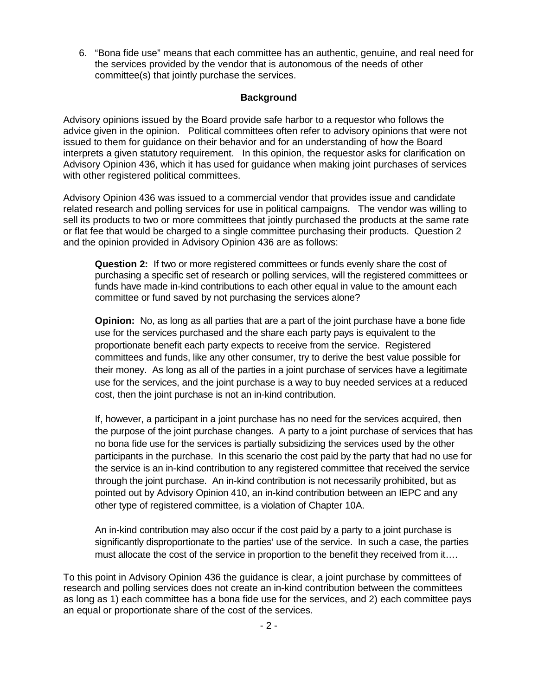6. "Bona fide use" means that each committee has an authentic, genuine, and real need for the services provided by the vendor that is autonomous of the needs of other committee(s) that jointly purchase the services.

# **Background**

Advisory opinions issued by the Board provide safe harbor to a requestor who follows the advice given in the opinion. Political committees often refer to advisory opinions that were not issued to them for guidance on their behavior and for an understanding of how the Board interprets a given statutory requirement. In this opinion, the requestor asks for clarification on Advisory Opinion 436, which it has used for guidance when making joint purchases of services with other registered political committees.

Advisory Opinion 436 was issued to a commercial vendor that provides issue and candidate related research and polling services for use in political campaigns. The vendor was willing to sell its products to two or more committees that jointly purchased the products at the same rate or flat fee that would be charged to a single committee purchasing their products. Question 2 and the opinion provided in Advisory Opinion 436 are as follows:

**Question 2:** If two or more registered committees or funds evenly share the cost of purchasing a specific set of research or polling services, will the registered committees or funds have made in-kind contributions to each other equal in value to the amount each committee or fund saved by not purchasing the services alone?

**Opinion:** No, as long as all parties that are a part of the joint purchase have a bone fide use for the services purchased and the share each party pays is equivalent to the proportionate benefit each party expects to receive from the service. Registered committees and funds, like any other consumer, try to derive the best value possible for their money. As long as all of the parties in a joint purchase of services have a legitimate use for the services, and the joint purchase is a way to buy needed services at a reduced cost, then the joint purchase is not an in-kind contribution.

If, however, a participant in a joint purchase has no need for the services acquired, then the purpose of the joint purchase changes. A party to a joint purchase of services that has no bona fide use for the services is partially subsidizing the services used by the other participants in the purchase. In this scenario the cost paid by the party that had no use for the service is an in-kind contribution to any registered committee that received the service through the joint purchase. An in-kind contribution is not necessarily prohibited, but as pointed out by Advisory Opinion 410, an in-kind contribution between an IEPC and any other type of registered committee, is a violation of Chapter 10A.

An in-kind contribution may also occur if the cost paid by a party to a joint purchase is significantly disproportionate to the parties' use of the service. In such a case, the parties must allocate the cost of the service in proportion to the benefit they received from it….

To this point in Advisory Opinion 436 the guidance is clear, a joint purchase by committees of research and polling services does not create an in-kind contribution between the committees as long as 1) each committee has a bona fide use for the services, and 2) each committee pays an equal or proportionate share of the cost of the services.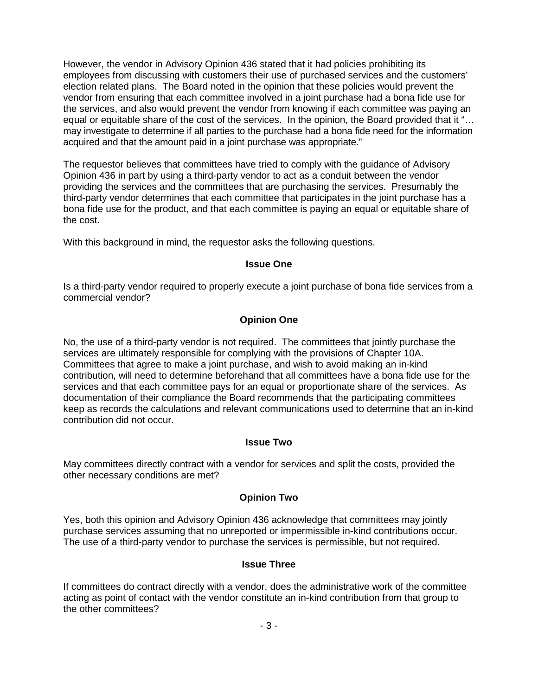However, the vendor in Advisory Opinion 436 stated that it had policies prohibiting its employees from discussing with customers their use of purchased services and the customers' election related plans. The Board noted in the opinion that these policies would prevent the vendor from ensuring that each committee involved in a joint purchase had a bona fide use for the services, and also would prevent the vendor from knowing if each committee was paying an equal or equitable share of the cost of the services. In the opinion, the Board provided that it "… may investigate to determine if all parties to the purchase had a bona fide need for the information acquired and that the amount paid in a joint purchase was appropriate."

The requestor believes that committees have tried to comply with the guidance of Advisory Opinion 436 in part by using a third-party vendor to act as a conduit between the vendor providing the services and the committees that are purchasing the services. Presumably the third-party vendor determines that each committee that participates in the joint purchase has a bona fide use for the product, and that each committee is paying an equal or equitable share of the cost.

With this background in mind, the requestor asks the following questions.

### **Issue One**

Is a third-party vendor required to properly execute a joint purchase of bona fide services from a commercial vendor?

# **Opinion One**

No, the use of a third-party vendor is not required. The committees that jointly purchase the services are ultimately responsible for complying with the provisions of Chapter 10A. Committees that agree to make a joint purchase, and wish to avoid making an in-kind contribution, will need to determine beforehand that all committees have a bona fide use for the services and that each committee pays for an equal or proportionate share of the services. As documentation of their compliance the Board recommends that the participating committees keep as records the calculations and relevant communications used to determine that an in-kind contribution did not occur.

### **Issue Two**

May committees directly contract with a vendor for services and split the costs, provided the other necessary conditions are met?

# **Opinion Two**

Yes, both this opinion and Advisory Opinion 436 acknowledge that committees may jointly purchase services assuming that no unreported or impermissible in-kind contributions occur. The use of a third-party vendor to purchase the services is permissible, but not required.

### **Issue Three**

If committees do contract directly with a vendor, does the administrative work of the committee acting as point of contact with the vendor constitute an in-kind contribution from that group to the other committees?